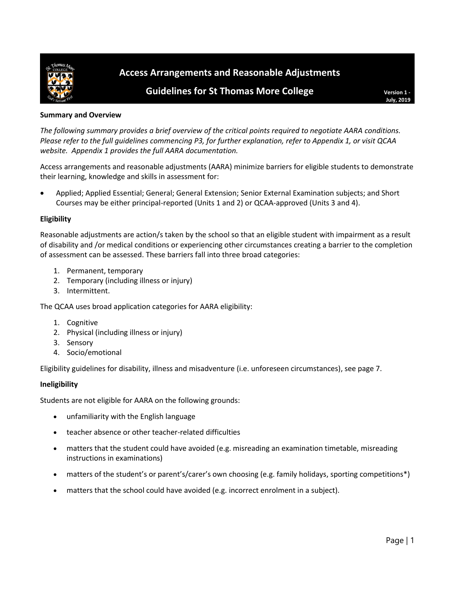

# **Access Arrangements and Reasonable Adjustments**

# **Guidelines for St Thomas More College Version 1 -** Version 1 -

**July, 2019**

### **Summary and Overview**

*The following summary provides a brief overview of the critical points required to negotiate AARA conditions. Please refer to the full guidelines commencing P3, for further explanation, refer to Appendix 1, or visit QCAA website. Appendix 1 provides the full AARA documentation.*

Access arrangements and reasonable adjustments (AARA) minimize barriers for eligible students to demonstrate their learning, knowledge and skills in assessment for:

• Applied; Applied Essential; General; General Extension; Senior External Examination subjects; and Short Courses may be either principal-reported (Units 1 and 2) or QCAA-approved (Units 3 and 4).

# **Eligibility**

Reasonable adjustments are action/s taken by the school so that an eligible student with impairment as a result of disability and /or medical conditions or experiencing other circumstances creating a barrier to the completion of assessment can be assessed. These barriers fall into three broad categories:

- 1. Permanent, temporary
- 2. Temporary (including illness or injury)
- 3. Intermittent.

The QCAA uses broad application categories for AARA eligibility:

- 1. Cognitive
- 2. Physical (including illness or injury)
- 3. Sensory
- 4. Socio/emotional

Eligibility guidelines for disability, illness and misadventure (i.e. unforeseen circumstances), see page 7.

### **Ineligibility**

Students are not eligible for AARA on the following grounds:

- unfamiliarity with the English language
- teacher absence or other teacher-related difficulties
- matters that the student could have avoided (e.g. misreading an examination timetable, misreading instructions in examinations)
- matters of the student's or parent's/carer's own choosing (e.g. family holidays, sporting competitions\*)
- matters that the school could have avoided (e.g. incorrect enrolment in a subject).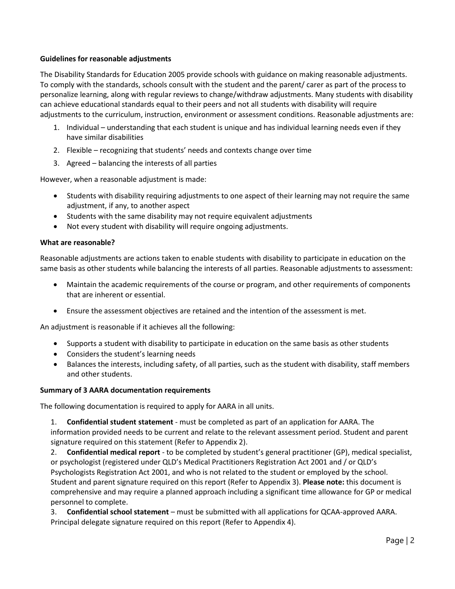### **Guidelines for reasonable adjustments**

The Disability Standards for Education 2005 provide schools with guidance on making reasonable adjustments. To comply with the standards, schools consult with the student and the parent/ carer as part of the process to personalize learning, along with regular reviews to change/withdraw adjustments. Many students with disability can achieve educational standards equal to their peers and not all students with disability will require adjustments to the curriculum, instruction, environment or assessment conditions. Reasonable adjustments are:

- 1. Individual understanding that each student is unique and has individual learning needs even if they have similar disabilities
- 2. Flexible recognizing that students' needs and contexts change over time
- 3. Agreed balancing the interests of all parties

However, when a reasonable adjustment is made:

- Students with disability requiring adjustments to one aspect of their learning may not require the same adjustment, if any, to another aspect
- Students with the same disability may not require equivalent adjustments
- Not every student with disability will require ongoing adjustments.

#### **What are reasonable?**

Reasonable adjustments are actions taken to enable students with disability to participate in education on the same basis as other students while balancing the interests of all parties. Reasonable adjustments to assessment:

- Maintain the academic requirements of the course or program, and other requirements of components that are inherent or essential.
- Ensure the assessment objectives are retained and the intention of the assessment is met.

An adjustment is reasonable if it achieves all the following:

- Supports a student with disability to participate in education on the same basis as other students
- Considers the student's learning needs
- Balances the interests, including safety, of all parties, such as the student with disability, staff members and other students.

### **Summary of 3 AARA documentation requirements**

The following documentation is required to apply for AARA in all units.

1. **Confidential student statement** - must be completed as part of an application for AARA. The information provided needs to be current and relate to the relevant assessment period. Student and parent signature required on this statement (Refer to Appendix 2).

2. **Confidential medical report** - to be completed by student's general practitioner (GP), medical specialist, or psychologist (registered under QLD's Medical Practitioners Registration Act 2001 and / or QLD's Psychologists Registration Act 2001, and who is not related to the student or employed by the school. Student and parent signature required on this report (Refer to Appendix 3). **Please note:** this document is comprehensive and may require a planned approach including a significant time allowance for GP or medical personnel to complete.

3. **Confidential school statement** – must be submitted with all applications for QCAA-approved AARA. Principal delegate signature required on this report (Refer to Appendix 4).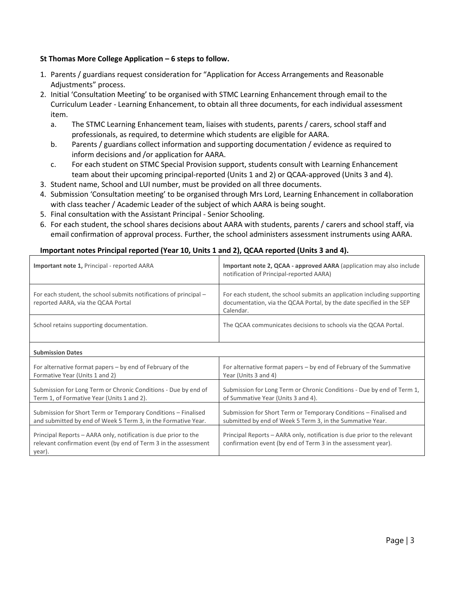# **St Thomas More College Application – 6 steps to follow.**

- 1. Parents / guardians request consideration for "Application for Access Arrangements and Reasonable Adjustments" process.
- 2. Initial 'Consultation Meeting' to be organised with STMC Learning Enhancement through email to [the](mailto:elord@stmc.qld.edu.au) Curriculum Leader - Learning Enhancement, to obtain all three documents, for each individual assessment item.
	- a. The STMC Learning Enhancement team, liaises with students, parents / carers, school staff and professionals, as required, to determine which students are eligible for AARA.
	- b. Parents / guardians collect information and supporting documentation / evidence as required to inform decisions and /or application for AARA.
	- c. For each student on STMC Special Provision support, students consult with Learning Enhancement team about their upcoming principal-reported (Units 1 and 2) or QCAA-approved (Units 3 and 4).
- 3. Student name, School and LUI number, must be provided on all three documents.
- 4. Submission 'Consultation meeting' to be organised through Mrs Lord, Learning Enhancement in collaboration with class teacher / Academic Leader of the subject of which AARA is being sought.
- 5. Final consultation with the Assistant Principal Senior Schooling.
- 6. For each student, the school shares decisions about AARA with students, parents / carers and school staff, via email confirmation of approval process. Further, the school administers assessment instruments using AARA.

# **Important notes Principal reported (Year 10, Units 1 and 2), QCAA reported (Units 3 and 4).**

| Important note 1, Principal - reported AARA                                                                                                  | Important note 2, QCAA - approved AARA (application may also include<br>notification of Principal-reported AARA)                                              |
|----------------------------------------------------------------------------------------------------------------------------------------------|---------------------------------------------------------------------------------------------------------------------------------------------------------------|
| For each student, the school submits notifications of principal –<br>reported AARA, via the QCAA Portal                                      | For each student, the school submits an application including supporting<br>documentation, via the QCAA Portal, by the date specified in the SEP<br>Calendar. |
| School retains supporting documentation.                                                                                                     | The QCAA communicates decisions to schools via the QCAA Portal.                                                                                               |
| <b>Submission Dates</b>                                                                                                                      |                                                                                                                                                               |
| For alternative format papers $-$ by end of February of the<br>Formative Year (Units 1 and 2)                                                | For alternative format papers – by end of February of the Summative<br>Year (Units 3 and 4)                                                                   |
| Submission for Long Term or Chronic Conditions - Due by end of<br>Term 1, of Formative Year (Units 1 and 2).                                 | Submission for Long Term or Chronic Conditions - Due by end of Term 1,<br>of Summative Year (Units 3 and 4).                                                  |
| Submission for Short Term or Temporary Conditions - Finalised<br>and submitted by end of Week 5 Term 3, in the Formative Year.               | Submission for Short Term or Temporary Conditions - Finalised and<br>submitted by end of Week 5 Term 3, in the Summative Year.                                |
| Principal Reports – AARA only, notification is due prior to the<br>relevant confirmation event (by end of Term 3 in the assessment<br>year). | Principal Reports – AARA only, notification is due prior to the relevant<br>confirmation event (by end of Term 3 in the assessment year).                     |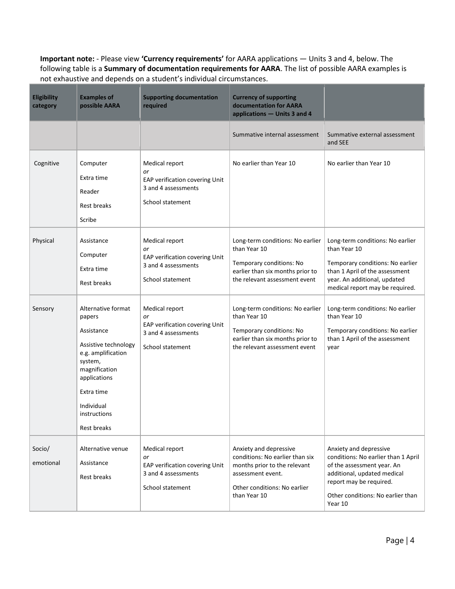**Important note:** - Please view **'Currency requirements'** for AARA applications — Units 3 and 4, below. The following table is a **Summary of documentation requirements for AARA**. The list of possible AARA examples is not exhaustive and depends on a student's individual circumstances.

| Eligibility<br>category | <b>Examples of</b><br>possible AARA                                                                                                                                                             | <b>Supporting documentation</b><br>required                                                       | <b>Currency of supporting</b><br>documentation for AARA<br>applications - Units 3 and 4                                                                        |                                                                                                                                                                                                       |
|-------------------------|-------------------------------------------------------------------------------------------------------------------------------------------------------------------------------------------------|---------------------------------------------------------------------------------------------------|----------------------------------------------------------------------------------------------------------------------------------------------------------------|-------------------------------------------------------------------------------------------------------------------------------------------------------------------------------------------------------|
|                         |                                                                                                                                                                                                 |                                                                                                   | Summative internal assessment                                                                                                                                  | Summative external assessment<br>and SEE                                                                                                                                                              |
| Cognitive               | Computer<br>Extra time<br>Reader<br>Rest breaks<br>Scribe                                                                                                                                       | Medical report<br>or<br>EAP verification covering Unit<br>3 and 4 assessments<br>School statement | No earlier than Year 10                                                                                                                                        | No earlier than Year 10                                                                                                                                                                               |
| Physical                | Assistance<br>Computer<br>Extra time<br><b>Rest breaks</b>                                                                                                                                      | Medical report<br>or<br>EAP verification covering Unit<br>3 and 4 assessments<br>School statement | Long-term conditions: No earlier<br>than Year 10<br>Temporary conditions: No<br>earlier than six months prior to<br>the relevant assessment event              | Long-term conditions: No earlier<br>than Year 10<br>Temporary conditions: No earlier<br>than 1 April of the assessment<br>year. An additional, updated<br>medical report may be required.             |
| Sensory                 | Alternative format<br>papers<br>Assistance<br>Assistive technology<br>e.g. amplification<br>system,<br>magnification<br>applications<br>Extra time<br>Individual<br>instructions<br>Rest breaks | Medical report<br>or<br>EAP verification covering Unit<br>3 and 4 assessments<br>School statement | Long-term conditions: No earlier<br>than Year 10<br>Temporary conditions: No<br>earlier than six months prior to<br>the relevant assessment event              | Long-term conditions: No earlier<br>than Year 10<br>Temporary conditions: No earlier<br>than 1 April of the assessment<br>year                                                                        |
| Socio/<br>emotional     | Alternative venue<br>Assistance<br>Rest breaks                                                                                                                                                  | Medical report<br>or<br>EAP verification covering Unit<br>3 and 4 assessments<br>School statement | Anxiety and depressive<br>conditions: No earlier than six<br>months prior to the relevant<br>assessment event.<br>Other conditions: No earlier<br>than Year 10 | Anxiety and depressive<br>conditions: No earlier than 1 April<br>of the assessment year. An<br>additional, updated medical<br>report may be required.<br>Other conditions: No earlier than<br>Year 10 |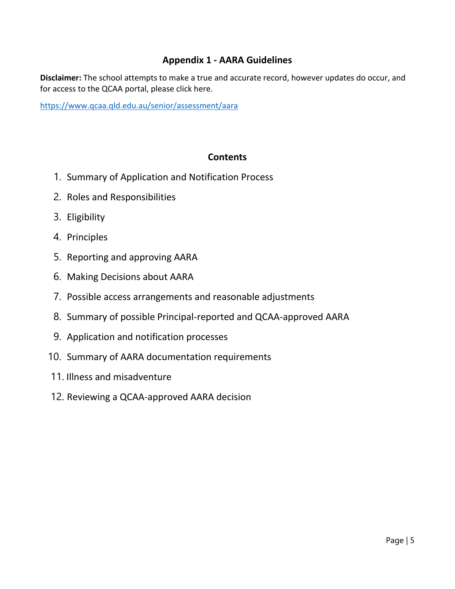# **Appendix 1 - AARA Guidelines**

**Disclaimer:** The school attempts to make a true and accurate record, however updates do occur, and for access to the QCAA portal, please click here.

<https://www.qcaa.qld.edu.au/senior/assessment/aara>

# **Contents**

- 1. Summary of Application and Notification Process
- 2. Roles and Responsibilities
- 3. Eligibility
- 4. Principles
- 5. Reporting and approving AARA
- 6. Making Decisions about AARA
- 7. Possible access arrangements and reasonable adjustments
- 8. Summary of possible Principal-reported and QCAA-approved AARA
- 9. Application and notification processes
- 10. Summary of AARA documentation requirements
- 11. Illness and misadventure
- 12. Reviewing a QCAA-approved AARA decision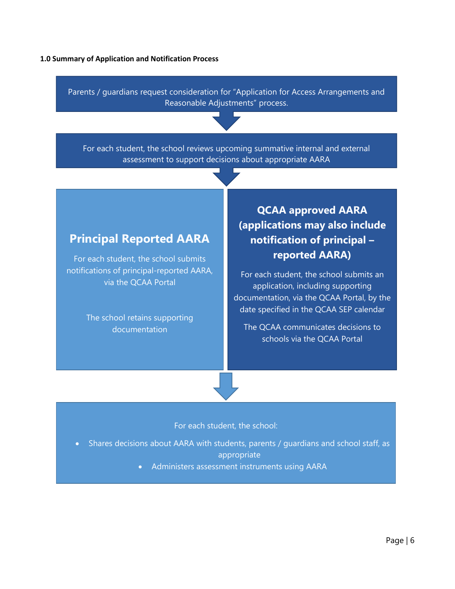#### **1.0 Summary of Application and Notification Process**

Parents / guardians request consideration for "Application for Access Arrangements and Reasonable Adjustments" process.

For each student, the school reviews upcoming summative internal and external assessment to support decisions about appropriate AARA

# **Principal Reported AARA**

For each student, the school submits notifications of principal-reported AARA, via the QCAA Portal

> The school retains supporting documentation

**QCAA approved AARA (applications may also include notification of principal – reported AARA)**

For each student, the school submits an application, including supporting documentation, via the QCAA Portal, by the date specified in the QCAA SEP calendar

The QCAA communicates decisions to schools via the QCAA Portal

# For each student, the school:

- Shares decisions about AARA with students, parents / guardians and school staff, as appropriate
	- Administers assessment instruments using AARA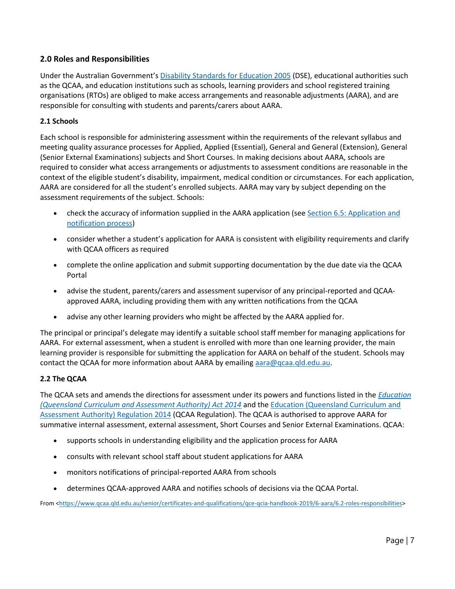# **2.0 Roles and Responsibilities**

Under the Australian Government's [Disability Standards for Education 2005](https://docs.education.gov.au/node/16354) (DSE), educational authorities such as the QCAA, and education institutions such as schools, learning providers and school registered training organisations (RTOs) are obliged to make access arrangements and reasonable adjustments (AARA), and are responsible for consulting with students and parents/carers about AARA.

# **2.1 Schools**

Each school is responsible for administering assessment within the requirements of the relevant syllabus and meeting quality assurance processes for Applied, Applied (Essential), General and General (Extension), General (Senior External Examinations) subjects and Short Courses. In making decisions about AARA, schools are required to consider what access arrangements or adjustments to assessment conditions are reasonable in the context of the eligible student's disability, impairment, medical condition or circumstances. For each application, AARA are considered for all the student's enrolled subjects. AARA may vary by subject depending on the assessment requirements of the subject. Schools:

- check the accuracy of information supplied in the AARA application (se[e Section 6.5: Application and](https://www.qcaa.qld.edu.au/senior/certificates-and-qualifications/qce-qcia-handbook-2019/6-aara/6.5-application-notification)  [notification process\)](https://www.qcaa.qld.edu.au/senior/certificates-and-qualifications/qce-qcia-handbook-2019/6-aara/6.5-application-notification)
- consider whether a student's application for AARA is consistent with eligibility requirements and clarify with QCAA officers as required
- complete the online application and submit supporting documentation by the due date via the QCAA Portal
- advise the student, parents/carers and assessment supervisor of any principal-reported and QCAAapproved AARA, including providing them with any written notifications from the QCAA
- advise any other learning providers who might be affected by the AARA applied for.

The principal or principal's delegate may identify a suitable school staff member for managing applications for AARA. For external assessment, when a student is enrolled with more than one learning provider, the main learning provider is responsible for submitting the application for AARA on behalf of the student. Schools may contact the QCAA for more information about AARA by emailing  $\arccos \theta$  gcaa.gld.edu.au.

### **2.2 The QCAA**

The QCAA sets and amends the directions for assessment under its powers and functions listed in the *[Education](https://www.legislation.qld.gov.au/view/html/inforce/current/act-2014-003)  [\(Queensland Curriculum and Assessment Authority\) Act 2014](https://www.legislation.qld.gov.au/view/html/inforce/current/act-2014-003)* and the [Education \(Queensland Curriculum and](https://www.legislation.qld.gov.au/view/html/asmade/sl-2014-0126)  [Assessment Authority\) Regulation 2014](https://www.legislation.qld.gov.au/view/html/asmade/sl-2014-0126) (QCAA Regulation). The QCAA is authorised to approve AARA for summative internal assessment, external assessment, Short Courses and Senior External Examinations. QCAA:

- supports schools in understanding eligibility and the application process for AARA
- consults with relevant school staff about student applications for AARA
- monitors notifications of principal-reported AARA from schools
- determines QCAA-approved AARA and notifies schools of decisions via the QCAA Portal.

From [<https://www.qcaa.qld.edu.au/senior/certificates-and-qualifications/qce-qcia-handbook-2019/6-aara/6.2-roles-responsibilities>](https://www.qcaa.qld.edu.au/senior/certificates-and-qualifications/qce-qcia-handbook-2019/6-aara/6.2-roles-responsibilities)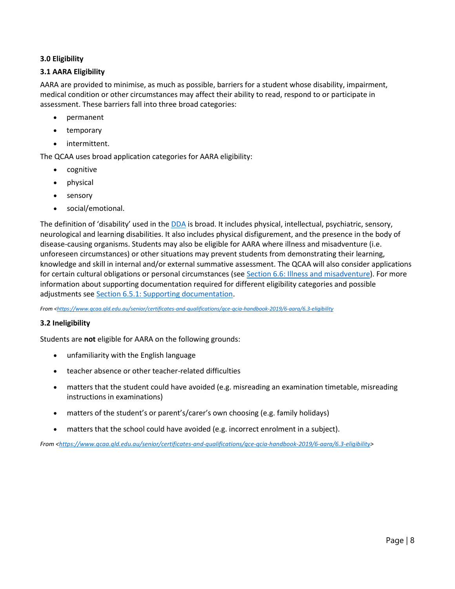# **3.0 Eligibility**

# **3.1 AARA Eligibility**

AARA are provided to minimise, as much as possible, barriers for a student whose disability, impairment, medical condition or other circumstances may affect their ability to read, respond to or participate in assessment. These barriers fall into three broad categories:

- permanent
- temporary
- intermittent.

The QCAA uses broad application categories for AARA eligibility:

- cognitive
- physical
- sensory
- social/emotional.

The definition of 'disability' used in the [DDA](https://www.legislation.gov.au/Details/C2016C00763) is broad. It includes physical, intellectual, psychiatric, sensory, neurological and learning disabilities. It also includes physical disfigurement, and the presence in the body of disease-causing organisms. Students may also be eligible for AARA where illness and misadventure (i.e. unforeseen circumstances) or other situations may prevent students from demonstrating their learning, knowledge and skill in internal and/or external summative assessment. The QCAA will also consider applications for certain cultural obligations or personal circumstances (see [Section 6.6: Illness and misadventure\)](https://www.qcaa.qld.edu.au/senior/certificates-and-qualifications/qce-qcia-handbook-2019/6-aara/6.6-illness-misadventure). For more information about supporting documentation required for different eligibility categories and possible adjustments se[e Section 6.5.1: Supporting documentation.](https://www.qcaa.qld.edu.au/senior/certificates-and-qualifications/qce-qcia-handbook-2019/6-aara/6.5-application-notification)

*From [<https://www.qcaa.qld.edu.au/senior/certificates-and-qualifications/qce-qcia-handbook-2019/6-aara/6.3-eligibility](https://www.qcaa.qld.edu.au/senior/certificates-and-qualifications/qce-qcia-handbook-2019/6-aara/6.3-eligibility)*

### **3.2 Ineligibility**

Students are **not** eligible for AARA on the following grounds:

- unfamiliarity with the English language
- teacher absence or other teacher-related difficulties
- matters that the student could have avoided (e.g. misreading an examination timetable, misreading instructions in examinations)
- matters of the student's or parent's/carer's own choosing (e.g. family holidays)
- matters that the school could have avoided (e.g. incorrect enrolment in a subject).

*From [<https://www.qcaa.qld.edu.au/senior/certificates-and-qualifications/qce-qcia-handbook-2019/6-aara/6.3-eligibility>](https://www.qcaa.qld.edu.au/senior/certificates-and-qualifications/qce-qcia-handbook-2019/6-aara/6.3-eligibility)*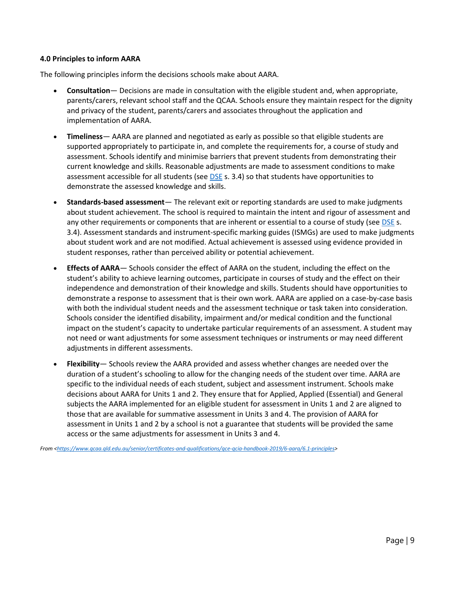#### **4.0 Principles to inform AARA**

The following principles inform the decisions schools make about AARA.

- **Consultation** Decisions are made in consultation with the eligible student and, when appropriate, parents/carers, relevant school staff and the QCAA. Schools ensure they maintain respect for the dignity and privacy of the student, parents/carers and associates throughout the application and implementation of AARA.
- **Timeliness** AARA are planned and negotiated as early as possible so that eligible students are supported appropriately to participate in, and complete the requirements for, a course of study and assessment. Schools identify and minimise barriers that prevent students from demonstrating their current knowledge and skills. Reasonable adjustments are made to assessment conditions to make assessment accessible for all students (see [DSE](https://docs.education.gov.au/node/16354) s. 3.4) so that students have opportunities to demonstrate the assessed knowledge and skills.
- **Standards-based assessment** The relevant exit or reporting standards are used to make judgments about student achievement. The school is required to maintain the intent and rigour of assessment and any other requirements or components that are inherent or essential to a course of study (se[e DSE](https://docs.education.gov.au/node/16354) s. 3.4). Assessment standards and instrument-specific marking guides (ISMGs) are used to make judgments about student work and are not modified. Actual achievement is assessed using evidence provided in student responses, rather than perceived ability or potential achievement.
- **Effects of AARA** Schools consider the effect of AARA on the student, including the effect on the student's ability to achieve learning outcomes, participate in courses of study and the effect on their independence and demonstration of their knowledge and skills. Students should have opportunities to demonstrate a response to assessment that is their own work. AARA are applied on a case-by-case basis with both the individual student needs and the assessment technique or task taken into consideration. Schools consider the identified disability, impairment and/or medical condition and the functional impact on the student's capacity to undertake particular requirements of an assessment. A student may not need or want adjustments for some assessment techniques or instruments or may need different adjustments in different assessments.
- **Flexibility** Schools review the AARA provided and assess whether changes are needed over the duration of a student's schooling to allow for the changing needs of the student over time. AARA are specific to the individual needs of each student, subject and assessment instrument. Schools make decisions about AARA for Units 1 and 2. They ensure that for Applied, Applied (Essential) and General subjects the AARA implemented for an eligible student for assessment in Units 1 and 2 are aligned to those that are available for summative assessment in Units 3 and 4. The provision of AARA for assessment in Units 1 and 2 by a school is not a guarantee that students will be provided the same access or the same adjustments for assessment in Units 3 and 4.

*From [<https://www.qcaa.qld.edu.au/senior/certificates-and-qualifications/qce-qcia-handbook-2019/6-aara/6.1-principles>](https://www.qcaa.qld.edu.au/senior/certificates-and-qualifications/qce-qcia-handbook-2019/6-aara/6.1-principles)*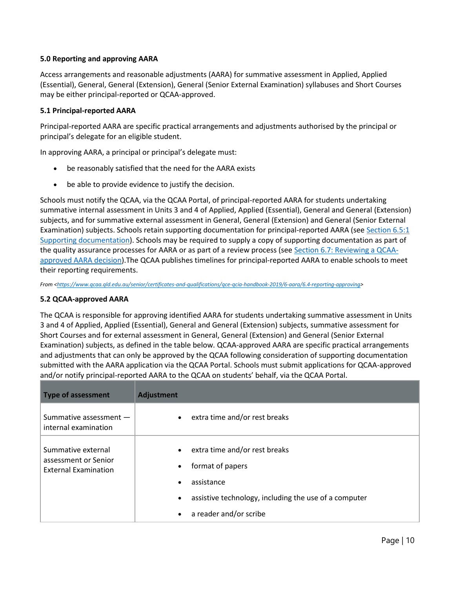# **5.0 Reporting and approving AARA**

Access arrangements and reasonable adjustments (AARA) for summative assessment in Applied, Applied (Essential), General, General (Extension), General (Senior External Examination) syllabuses and Short Courses may be either principal-reported or QCAA-approved.

# **5.1 Principal-reported AARA**

Principal-reported AARA are specific practical arrangements and adjustments authorised by the principal or principal's delegate for an eligible student.

In approving AARA, a principal or principal's delegate must:

- be reasonably satisfied that the need for the AARA exists
- be able to provide evidence to justify the decision.

Schools must notify the QCAA, via the QCAA Portal, of principal-reported AARA for students undertaking summative internal assessment in Units 3 and 4 of Applied, Applied (Essential), General and General (Extension) subjects, and for summative external assessment in General, General (Extension) and General (Senior External Examination) subjects. Schools retain supporting documentation for principal-reported AARA (see [Section 6.5:1](https://www.qcaa.qld.edu.au/senior/certificates-and-qualifications/qce-qcia-handbook-2019/6-aara/6.5-application-notification)  [Supporting documentation\)](https://www.qcaa.qld.edu.au/senior/certificates-and-qualifications/qce-qcia-handbook-2019/6-aara/6.5-application-notification). Schools may be required to supply a copy of supporting documentation as part of the quality assurance processes for AARA or as part of a review process (see [Section 6.7: Reviewing a QCAA](https://www.qcaa.qld.edu.au/senior/certificates-and-qualifications/qce-qcia-handbook-2019/6-aara/6.7-reviewing-a-decision)[approved AARA decision\)](https://www.qcaa.qld.edu.au/senior/certificates-and-qualifications/qce-qcia-handbook-2019/6-aara/6.7-reviewing-a-decision).The QCAA publishes timelines for principal-reported AARA to enable schools to meet their reporting requirements.

*From [<https://www.qcaa.qld.edu.au/senior/certificates-and-qualifications/qce-qcia-handbook-2019/6-aara/6.4-reporting-approving>](https://www.qcaa.qld.edu.au/senior/certificates-and-qualifications/qce-qcia-handbook-2019/6-aara/6.4-reporting-approving)* 

### **5.2 QCAA-approved AARA**

The QCAA is responsible for approving identified AARA for students undertaking summative assessment in Units 3 and 4 of Applied, Applied (Essential), General and General (Extension) subjects, summative assessment for Short Courses and for external assessment in General, General (Extension) and General (Senior External Examination) subjects, as defined in the table below*.* QCAA-approved AARA are specific practical arrangements and adjustments that can only be approved by the QCAA following consideration of supporting documentation submitted with the AARA application via the QCAA Portal. Schools must submit applications for QCAA-approved and/or notify principal-reported AARA to the QCAA on students' behalf, via the QCAA Portal.

| <b>Type of assessment</b>                                                 | <b>Adjustment</b>                                                                                                                                                                                                   |
|---------------------------------------------------------------------------|---------------------------------------------------------------------------------------------------------------------------------------------------------------------------------------------------------------------|
| Summative assessment -<br>internal examination                            | • extra time and/or rest breaks                                                                                                                                                                                     |
| Summative external<br>assessment or Senior<br><b>External Examination</b> | extra time and/or rest breaks<br>$\bullet$<br>format of papers<br>$\bullet$<br>assistance<br>$\bullet$<br>assistive technology, including the use of a computer<br>$\bullet$<br>a reader and/or scribe<br>$\bullet$ |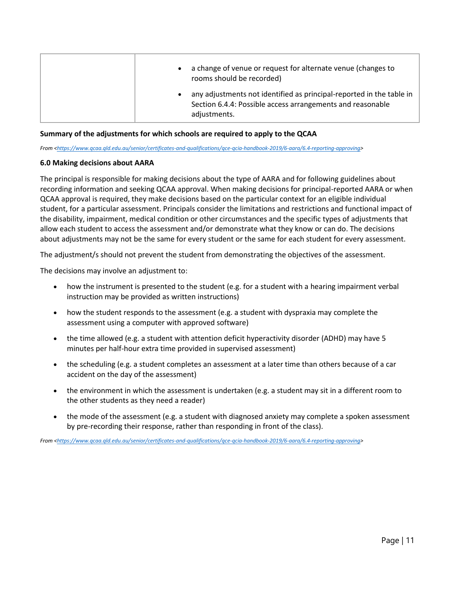| a change of venue or request for alternate venue (changes to<br>$\bullet$<br>rooms should be recorded)                                                          |
|-----------------------------------------------------------------------------------------------------------------------------------------------------------------|
| any adjustments not identified as principal-reported in the table in<br>$\bullet$<br>Section 6.4.4: Possible access arrangements and reasonable<br>adjustments. |

#### **Summary of the adjustments for which schools are required to apply to the QCAA**

*From [<https://www.qcaa.qld.edu.au/senior/certificates-and-qualifications/qce-qcia-handbook-2019/6-aara/6.4-reporting-approving>](https://www.qcaa.qld.edu.au/senior/certificates-and-qualifications/qce-qcia-handbook-2019/6-aara/6.4-reporting-approving)* 

#### **6.0 Making decisions about AARA**

The principal is responsible for making decisions about the type of AARA and for following guidelines about recording information and seeking QCAA approval. When making decisions for principal-reported AARA or when QCAA approval is required, they make decisions based on the particular context for an eligible individual student, for a particular assessment. Principals consider the limitations and restrictions and functional impact of the disability, impairment, medical condition or other circumstances and the specific types of adjustments that allow each student to access the assessment and/or demonstrate what they know or can do. The decisions about adjustments may not be the same for every student or the same for each student for every assessment.

The adjustment/s should not prevent the student from demonstrating the objectives of the assessment.

The decisions may involve an adjustment to:

- how the instrument is presented to the student (e.g. for a student with a hearing impairment verbal instruction may be provided as written instructions)
- how the student responds to the assessment (e.g. a student with dyspraxia may complete the assessment using a computer with approved software)
- the time allowed (e.g. a student with attention deficit hyperactivity disorder (ADHD) may have 5 minutes per half-hour extra time provided in supervised assessment)
- the scheduling (e.g. a student completes an assessment at a later time than others because of a car accident on the day of the assessment)
- the environment in which the assessment is undertaken (e.g. a student may sit in a different room to the other students as they need a reader)
- the mode of the assessment (e.g. a student with diagnosed anxiety may complete a spoken assessment by pre-recording their response, rather than responding in front of the class).

*From [<https://www.qcaa.qld.edu.au/senior/certificates-and-qualifications/qce-qcia-handbook-2019/6-aara/6.4-reporting-approving>](https://www.qcaa.qld.edu.au/senior/certificates-and-qualifications/qce-qcia-handbook-2019/6-aara/6.4-reporting-approving)*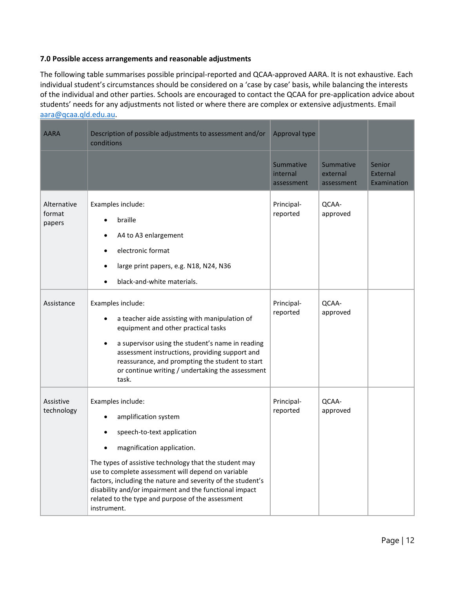### **7.0 Possible access arrangements and reasonable adjustments**

The following table summarises possible principal-reported and QCAA-approved AARA. It is not exhaustive. Each individual student's circumstances should be considered on a 'case by case' basis, while balancing the interests of the individual and other parties. Schools are encouraged to contact the QCAA for pre-application advice about students' needs for any adjustments not listed or where there are complex or extensive adjustments. Email [aara@qcaa.qld.edu.au.](mailto:aara.qcaa.qld.edu.au)

| <b>AARA</b>                     | Description of possible adjustments to assessment and/or<br>conditions                                                                                                                                                                                                                                                                                                                                             | Approval type                       |                                     |                                   |
|---------------------------------|--------------------------------------------------------------------------------------------------------------------------------------------------------------------------------------------------------------------------------------------------------------------------------------------------------------------------------------------------------------------------------------------------------------------|-------------------------------------|-------------------------------------|-----------------------------------|
|                                 |                                                                                                                                                                                                                                                                                                                                                                                                                    | Summative<br>internal<br>assessment | Summative<br>external<br>assessment | Senior<br>External<br>Examination |
| Alternative<br>format<br>papers | Examples include:<br>braille<br>A4 to A3 enlargement<br>electronic format<br>$\bullet$<br>large print papers, e.g. N18, N24, N36<br>black-and-white materials.                                                                                                                                                                                                                                                     | Principal-<br>reported              | QCAA-<br>approved                   |                                   |
| Assistance                      | Examples include:<br>a teacher aide assisting with manipulation of<br>equipment and other practical tasks<br>a supervisor using the student's name in reading<br>assessment instructions, providing support and<br>reassurance, and prompting the student to start<br>or continue writing / undertaking the assessment<br>task.                                                                                    | Principal-<br>reported              | QCAA-<br>approved                   |                                   |
| Assistive<br>technology         | Examples include:<br>amplification system<br>speech-to-text application<br>magnification application.<br>The types of assistive technology that the student may<br>use to complete assessment will depend on variable<br>factors, including the nature and severity of the student's<br>disability and/or impairment and the functional impact<br>related to the type and purpose of the assessment<br>instrument. | Principal-<br>reported              | QCAA-<br>approved                   |                                   |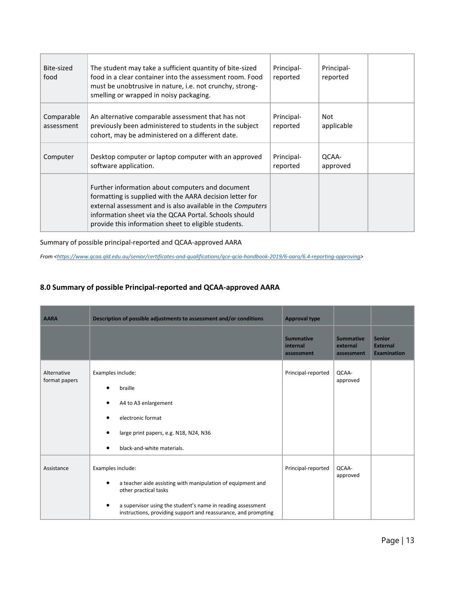| Bite-sized<br>food       | The student may take a sufficient quantity of bite-sized<br>food in a clear container into the assessment room. Food<br>must be unobtrusive in nature, i.e. not crunchy, strong-<br>smelling or wrapped in noisy packaging.                                                                 | Principal-<br>reported | Principal-<br>reported |  |
|--------------------------|---------------------------------------------------------------------------------------------------------------------------------------------------------------------------------------------------------------------------------------------------------------------------------------------|------------------------|------------------------|--|
| Comparable<br>assessment | An alternative comparable assessment that has not<br>previously been administered to students in the subject<br>cohort, may be administered on a different date.                                                                                                                            | Principal-<br>reported | Not<br>applicable      |  |
| Computer                 | Desktop computer or laptop computer with an approved<br>software application.                                                                                                                                                                                                               | Principal-<br>reported | QCAA-<br>approved      |  |
|                          | Further information about computers and document<br>formatting is supplied with the AARA decision letter for<br>external assessment and is also available in the Computers<br>information sheet via the QCAA Portal. Schools should<br>provide this information sheet to eligible students. |                        |                        |  |

Summary of possible principal-reported and QCAA-approved AARA

*From [<https://www.qcaa.qld.edu.au/senior/certificates-and-qualifications/qce-qcia-handbook-2019/6-aara/6.4-reporting-approving>](https://www.qcaa.qld.edu.au/senior/certificates-and-qualifications/qce-qcia-handbook-2019/6-aara/6.4-reporting-approving)*

# **8.0 Summary of possible Principal-reported and QCAA-approved AARA**

| <b>AARA</b>                  | Description of possible adjustments to assessment and/or conditions                                                                                                                                                                        | <b>Approval type</b>                       |                                            |                                                        |
|------------------------------|--------------------------------------------------------------------------------------------------------------------------------------------------------------------------------------------------------------------------------------------|--------------------------------------------|--------------------------------------------|--------------------------------------------------------|
|                              |                                                                                                                                                                                                                                            | <b>Summative</b><br>internal<br>assessment | <b>Summative</b><br>external<br>assessment | <b>Senior</b><br><b>External</b><br><b>Examination</b> |
| Alternative<br>format papers | Examples include:<br>braille<br>A4 to A3 enlargement<br>electronic format<br>large print papers, e.g. N18, N24, N36<br>black-and-white materials.                                                                                          | Principal-reported                         | QCAA-<br>approved                          |                                                        |
| Assistance                   | Examples include:<br>a teacher aide assisting with manipulation of equipment and<br>other practical tasks<br>a supervisor using the student's name in reading assessment<br>instructions, providing support and reassurance, and prompting | Principal-reported                         | QCAA-<br>approved                          |                                                        |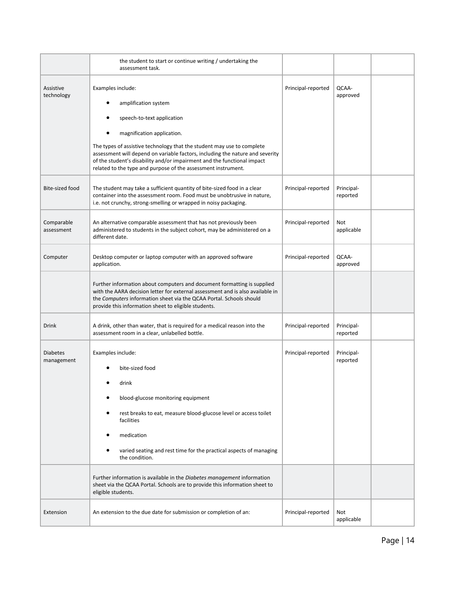|                               | the student to start or continue writing / undertaking the<br>assessment task.                                                                                                                                                                                                                                                                                                                                                                                        |                    |                        |  |
|-------------------------------|-----------------------------------------------------------------------------------------------------------------------------------------------------------------------------------------------------------------------------------------------------------------------------------------------------------------------------------------------------------------------------------------------------------------------------------------------------------------------|--------------------|------------------------|--|
| Assistive<br>technology       | Examples include:<br>amplification system<br>speech-to-text application<br>magnification application.<br>The types of assistive technology that the student may use to complete<br>assessment will depend on variable factors, including the nature and severity<br>of the student's disability and/or impairment and the functional impact<br>related to the type and purpose of the assessment instrument.                                                          | Principal-reported | QCAA-<br>approved      |  |
| Bite-sized food               | The student may take a sufficient quantity of bite-sized food in a clear<br>container into the assessment room. Food must be unobtrusive in nature,<br>i.e. not crunchy, strong-smelling or wrapped in noisy packaging.                                                                                                                                                                                                                                               | Principal-reported | Principal-<br>reported |  |
| Comparable<br>assessment      | An alternative comparable assessment that has not previously been<br>administered to students in the subject cohort, may be administered on a<br>different date.                                                                                                                                                                                                                                                                                                      | Principal-reported | Not<br>applicable      |  |
| Computer                      | Desktop computer or laptop computer with an approved software<br>application.                                                                                                                                                                                                                                                                                                                                                                                         | Principal-reported | QCAA-<br>approved      |  |
|                               | Further information about computers and document formatting is supplied<br>with the AARA decision letter for external assessment and is also available in<br>the Computers information sheet via the QCAA Portal. Schools should<br>provide this information sheet to eligible students.                                                                                                                                                                              |                    |                        |  |
| Drink                         | A drink, other than water, that is required for a medical reason into the<br>assessment room in a clear, unlabelled bottle.                                                                                                                                                                                                                                                                                                                                           | Principal-reported | Principal-<br>reported |  |
| <b>Diabetes</b><br>management | Examples include:<br>bite-sized food<br>drink<br>blood-glucose monitoring equipment<br>rest breaks to eat, measure blood-glucose level or access toilet<br>٠<br>facilities<br>medication<br>٠<br>varied seating and rest time for the practical aspects of managing<br>the condition.<br>Further information is available in the Diabetes management information<br>sheet via the QCAA Portal. Schools are to provide this information sheet to<br>eligible students. | Principal-reported | Principal-<br>reported |  |
| Extension                     | An extension to the due date for submission or completion of an:                                                                                                                                                                                                                                                                                                                                                                                                      | Principal-reported | Not<br>applicable      |  |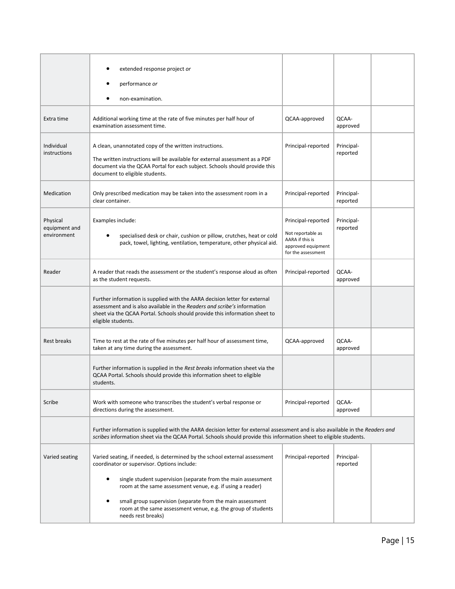|                                          | extended response project or<br>performance or<br>non-examination.                                                                                                                                                                                                    |                                                                                                        |                        |  |
|------------------------------------------|-----------------------------------------------------------------------------------------------------------------------------------------------------------------------------------------------------------------------------------------------------------------------|--------------------------------------------------------------------------------------------------------|------------------------|--|
| Extra time                               | Additional working time at the rate of five minutes per half hour of<br>examination assessment time.                                                                                                                                                                  | QCAA-approved                                                                                          | QCAA-<br>approved      |  |
| Individual<br>instructions               | A clean, unannotated copy of the written instructions.<br>The written instructions will be available for external assessment as a PDF<br>document via the QCAA Portal for each subject. Schools should provide this<br>document to eligible students.                 | Principal-reported                                                                                     | Principal-<br>reported |  |
| Medication                               | Only prescribed medication may be taken into the assessment room in a<br>clear container.                                                                                                                                                                             | Principal-reported                                                                                     | Principal-<br>reported |  |
| Physical<br>equipment and<br>environment | Examples include:<br>specialised desk or chair, cushion or pillow, crutches, heat or cold<br>pack, towel, lighting, ventilation, temperature, other physical aid.                                                                                                     | Principal-reported<br>Not reportable as<br>AARA if this is<br>approved equipment<br>for the assessment | Principal-<br>reported |  |
| Reader                                   | A reader that reads the assessment or the student's response aloud as often<br>as the student requests.                                                                                                                                                               | Principal-reported                                                                                     | QCAA-<br>approved      |  |
|                                          | Further information is supplied with the AARA decision letter for external<br>assessment and is also available in the Readers and scribe's information<br>sheet via the QCAA Portal. Schools should provide this information sheet to<br>eligible students.           |                                                                                                        |                        |  |
| <b>Rest breaks</b>                       | Time to rest at the rate of five minutes per half hour of assessment time,<br>taken at any time during the assessment.                                                                                                                                                | QCAA-approved                                                                                          | QCAA-<br>approved      |  |
|                                          | Further information is supplied in the Rest breaks information sheet via the<br>QCAA Portal. Schools should provide this information sheet to eligible<br>students.                                                                                                   |                                                                                                        |                        |  |
| Scribe                                   | Work with someone who transcribes the student's verbal response or<br>directions during the assessment.                                                                                                                                                               | Principal-reported                                                                                     | QCAA-<br>approved      |  |
|                                          | Further information is supplied with the AARA decision letter for external assessment and is also available in the Readers and<br>scribes information sheet via the QCAA Portal. Schools should provide this information sheet to eligible students.                  |                                                                                                        |                        |  |
| Varied seating                           | Varied seating, if needed, is determined by the school external assessment<br>coordinator or supervisor. Options include:<br>single student supervision (separate from the main assessment<br>$\bullet$<br>room at the same assessment venue, e.g. if using a reader) | Principal-reported                                                                                     | Principal-<br>reported |  |
|                                          | small group supervision (separate from the main assessment<br>$\bullet$<br>room at the same assessment venue, e.g. the group of students<br>needs rest breaks)                                                                                                        |                                                                                                        |                        |  |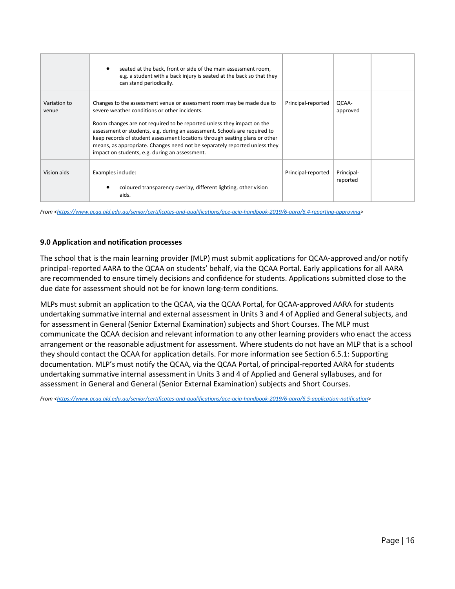|                       | seated at the back, front or side of the main assessment room,<br>e.g. a student with a back injury is seated at the back so that they<br>can stand periodically.                                                                                                                                                                                                                                                                                                                             |                    |                        |  |
|-----------------------|-----------------------------------------------------------------------------------------------------------------------------------------------------------------------------------------------------------------------------------------------------------------------------------------------------------------------------------------------------------------------------------------------------------------------------------------------------------------------------------------------|--------------------|------------------------|--|
| Variation to<br>venue | Changes to the assessment venue or assessment room may be made due to<br>severe weather conditions or other incidents.<br>Room changes are not required to be reported unless they impact on the<br>assessment or students, e.g. during an assessment. Schools are required to<br>keep records of student assessment locations through seating plans or other<br>means, as appropriate. Changes need not be separately reported unless they<br>impact on students, e.g. during an assessment. | Principal-reported | OCAA-<br>approved      |  |
| Vision aids           | Examples include:<br>coloured transparency overlay, different lighting, other vision<br>aids.                                                                                                                                                                                                                                                                                                                                                                                                 | Principal-reported | Principal-<br>reported |  |

*From [<https://www.qcaa.qld.edu.au/senior/certificates-and-qualifications/qce-qcia-handbook-2019/6-aara/6.4-reporting-approving>](https://www.qcaa.qld.edu.au/senior/certificates-and-qualifications/qce-qcia-handbook-2019/6-aara/6.4-reporting-approving)*

#### **9.0 Application and notification processes**

The school that is the main learning provider (MLP) must submit applications for QCAA-approved and/or notify principal-reported AARA to the QCAA on students' behalf, via the QCAA Portal. Early applications for all AARA are recommended to ensure timely decisions and confidence for students. Applications submitted close to the due date for assessment should not be for known long-term conditions.

MLPs must submit an application to the QCAA, via the QCAA Portal, for QCAA-approved AARA for students undertaking summative internal and external assessment in Units 3 and 4 of Applied and General subjects, and for assessment in General (Senior External Examination) subjects and Short Courses. The MLP must communicate the QCAA decision and relevant information to any other learning providers who enact the access arrangement or the reasonable adjustment for assessment. Where students do not have an MLP that is a school they should contact the QCAA for application details. For more information see Section 6.5.1: Supporting documentation. MLP's must notify the QCAA, via the QCAA Portal, of principal-reported AARA for students undertaking summative internal assessment in Units 3 and 4 of Applied and General syllabuses, and for assessment in General and General (Senior External Examination) subjects and Short Courses.

*From [<https://www.qcaa.qld.edu.au/senior/certificates-and-qualifications/qce-qcia-handbook-2019/6-aara/6.5-application-notification>](https://www.qcaa.qld.edu.au/senior/certificates-and-qualifications/qce-qcia-handbook-2019/6-aara/6.5-application-notification)*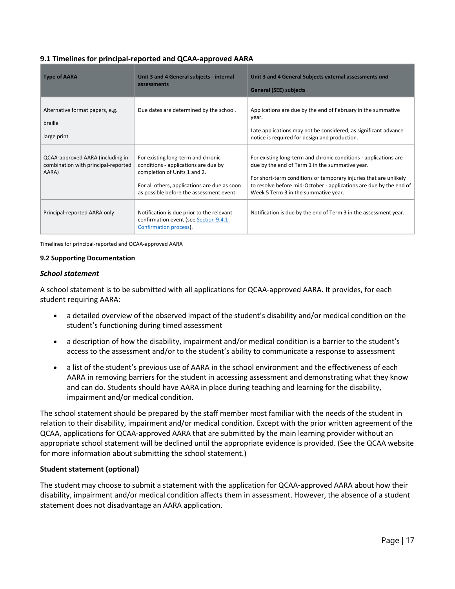## **9.1 Timelines for principal-reported and QCAA-approved AARA**

| <b>Type of AARA</b>                                                              | Unit 3 and 4 General subjects - internal<br>assessments                                                                                                                                                | Unit 3 and 4 General Subjects external assessments and<br><b>General (SEE) subjects</b>                                                                                                                                                                                                                |
|----------------------------------------------------------------------------------|--------------------------------------------------------------------------------------------------------------------------------------------------------------------------------------------------------|--------------------------------------------------------------------------------------------------------------------------------------------------------------------------------------------------------------------------------------------------------------------------------------------------------|
| Alternative format papers, e.g.<br>braille<br>large print                        | Due dates are determined by the school.                                                                                                                                                                | Applications are due by the end of February in the summative<br>year.<br>Late applications may not be considered, as significant advance<br>notice is required for design and production.                                                                                                              |
| QCAA-approved AARA (including in<br>combination with principal-reported<br>AARA) | For existing long-term and chronic<br>conditions - applications are due by<br>completion of Units 1 and 2.<br>For all others, applications are due as soon<br>as possible before the assessment event. | For existing long-term and chronic conditions - applications are<br>due by the end of Term 1 in the summative year.<br>For short-term conditions or temporary injuries that are unlikely<br>to resolve before mid-October - applications are due by the end of<br>Week 5 Term 3 in the summative year. |
| Principal-reported AARA only                                                     | Notification is due prior to the relevant<br>confirmation event (see Section 9.4.1:<br>Confirmation process).                                                                                          | Notification is due by the end of Term 3 in the assessment year.                                                                                                                                                                                                                                       |

Timelines for principal-reported and QCAA-approved AARA

#### **9.2 Supporting Documentation**

#### *School statement*

A school statement is to be submitted with all applications for QCAA-approved AARA. It provides, for each student requiring AARA:

- a detailed overview of the observed impact of the student's disability and/or medical condition on the student's functioning during timed assessment
- a description of how the disability, impairment and/or medical condition is a barrier to the student's access to the assessment and/or to the student's ability to communicate a response to assessment
- a list of the student's previous use of AARA in the school environment and the effectiveness of each AARA in removing barriers for the student in accessing assessment and demonstrating what they know and can do. Students should have AARA in place during teaching and learning for the disability, impairment and/or medical condition.

The school statement should be prepared by the staff member most familiar with the needs of the student in relation to their disability, impairment and/or medical condition. Except with the prior written agreement of the QCAA, applications for QCAA-approved AARA that are submitted by the main learning provider without an appropriate school statement will be declined until the appropriate evidence is provided. (See the QCAA website for more information about submitting the school statement.)

#### **Student statement (optional)**

The student may choose to submit a statement with the application for QCAA-approved AARA about how their disability, impairment and/or medical condition affects them in assessment. However, the absence of a student statement does not disadvantage an AARA application.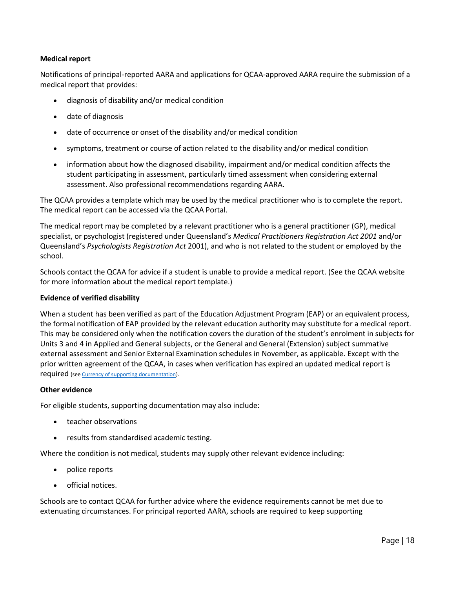# **Medical report**

Notifications of principal-reported AARA and applications for QCAA-approved AARA require the submission of a medical report that provides:

- diagnosis of disability and/or medical condition
- date of diagnosis
- date of occurrence or onset of the disability and/or medical condition
- symptoms, treatment or course of action related to the disability and/or medical condition
- information about how the diagnosed disability, impairment and/or medical condition affects the student participating in assessment, particularly timed assessment when considering external assessment. Also professional recommendations regarding AARA.

The QCAA provides a template which may be used by the medical practitioner who is to complete the report. The medical report can be accessed via the QCAA Portal.

The medical report may be completed by a relevant practitioner who is a general practitioner (GP), medical specialist, or psychologist (registered under Queensland's *Medical Practitioners Registration Act 2001* and/or Queensland's *Psychologists Registration Act* 2001), and who is not related to the student or employed by the school.

Schools contact the QCAA for advice if a student is unable to provide a medical report. (See the QCAA website for more information about the medical report template.)

#### **Evidence of verified disability**

When a student has been verified as part of the Education Adjustment Program (EAP) or an equivalent process, the formal notification of EAP provided by the relevant education authority may substitute for a medical report. This may be considered only when the notification covers the duration of the student's enrolment in subjects for Units 3 and 4 in Applied and General subjects, or the General and General (Extension) subject summative external assessment and Senior External Examination schedules in November, as applicable. Except with the prior written agreement of the QCAA, in cases when verification has expired an updated medical report is required (se[e Currency of supporting documentation\)](https://www.qcaa.qld.edu.au/senior/certificates-and-qualifications/qce-qcia-handbook-2019/6-aara/6.5-application-notification#1).

#### **Other evidence**

For eligible students, supporting documentation may also include:

- teacher observations
- results from standardised academic testing.

Where the condition is not medical, students may supply other relevant evidence including:

- police reports
- official notices.

Schools are to contact QCAA for further advice where the evidence requirements cannot be met due to extenuating circumstances. For principal reported AARA, schools are required to keep supporting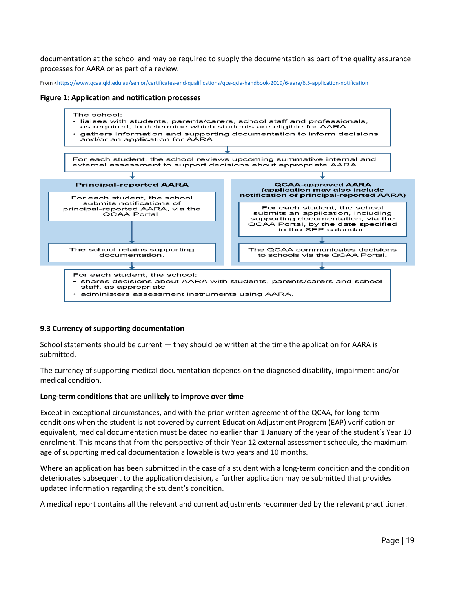documentation at the school and may be required to supply the documentation as part of the quality assurance processes for AARA or as part of a review.

From [<https://www.qcaa.qld.edu.au/senior/certificates-and-qualifications/qce-qcia-handbook-2019/6-aara/6.5-application-notification](https://www.qcaa.qld.edu.au/senior/certificates-and-qualifications/qce-qcia-handbook-2019/6-aara/6.5-application-notification)

**Figure 1: Application and notification processes**



#### **9.3 Currency of supporting documentation**

School statements should be current — they should be written at the time the application for AARA is submitted.

The currency of supporting medical documentation depends on the diagnosed disability, impairment and/or medical condition.

#### **Long-term conditions that are unlikely to improve over time**

Except in exceptional circumstances, and with the prior written agreement of the QCAA, for long-term conditions when the student is not covered by current Education Adjustment Program (EAP) verification or equivalent, medical documentation must be dated no earlier than 1 January of the year of the student's Year 10 enrolment. This means that from the perspective of their Year 12 external assessment schedule, the maximum age of supporting medical documentation allowable is two years and 10 months.

Where an application has been submitted in the case of a student with a long-term condition and the condition deteriorates subsequent to the application decision, a further application may be submitted that provides updated information regarding the student's condition.

A medical report contains all the relevant and current adjustments recommended by the relevant practitioner.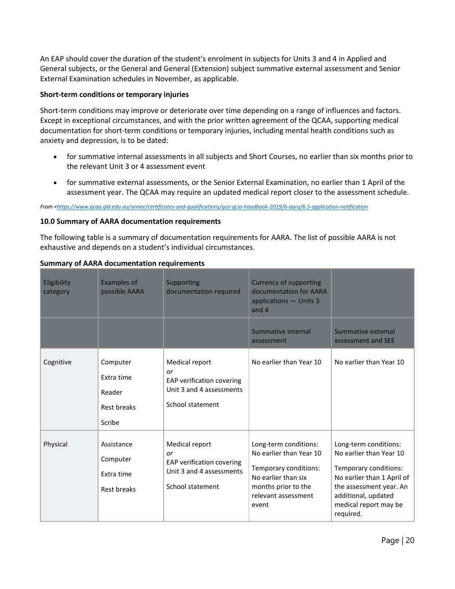An EAP should cover the duration of the student's enrolment in subjects for Units 3 and 4 in Applied and General subjects, or the General and General (Extension) subject summative external assessment and Senior External Examination schedules in November, as applicable.

### **Short-term conditions or temporary injuries**

Short-term conditions may improve or deteriorate over time depending on a range of influences and factors. Except in exceptional circumstances, and with the prior written agreement of the QCAA, supporting medical documentation for short-term conditions or temporary injuries, including mental health conditions such as anxiety and depression, is to be dated:

- for summative internal assessments in all subjects and Short Courses, no earlier than six months prior to the relevant Unit 3 or 4 assessment event
- for summative external assessments, or the Senior External Examination, no earlier than 1 April of the assessment year. The QCAA may require an updated medical report closer to the assessment schedule.

*From [<https://www.qcaa.qld.edu.au/senior/certificates-and-qualifications/qce-qcia-handbook-2019/6-aara/6.5-application-notification](https://www.qcaa.qld.edu.au/senior/certificates-and-qualifications/qce-qcia-handbook-2019/6-aara/6.5-application-notification)*

### **10.0 Summary of AARA documentation requirements**

The following table is a summary of documentation requirements for AARA. The list of possible AARA is not exhaustive and depends on a student's individual circumstances.

| Eligibility<br>category | <b>Examples of</b><br>possible AARA                              | Supporting<br>documentation required                                                              | <b>Currency of supporting</b><br>documentation for AARA<br>applications - Units 3<br>and 4                                                              |                                                                                                                                                                                                 |
|-------------------------|------------------------------------------------------------------|---------------------------------------------------------------------------------------------------|---------------------------------------------------------------------------------------------------------------------------------------------------------|-------------------------------------------------------------------------------------------------------------------------------------------------------------------------------------------------|
|                         |                                                                  |                                                                                                   | Summative internal<br>assessment                                                                                                                        | Summative external<br>assessment and SEE                                                                                                                                                        |
| Cognitive               | Computer<br>Extra time<br>Reader<br><b>Rest breaks</b><br>Scribe | Medical report<br>or<br>EAP verification covering<br>Unit 3 and 4 assessments<br>School statement | No earlier than Year 10                                                                                                                                 | No earlier than Year 10                                                                                                                                                                         |
| Physical                | Assistance<br>Computer<br>Extra time<br>Rest breaks              | Medical report<br>or<br>EAP verification covering<br>Unit 3 and 4 assessments<br>School statement | Long-term conditions:<br>No earlier than Year 10<br>Temporary conditions:<br>No earlier than six<br>months prior to the<br>relevant assessment<br>event | Long-term conditions:<br>No earlier than Year 10<br>Temporary conditions:<br>No earlier than 1 April of<br>the assessment year. An<br>additional, updated<br>medical report may be<br>required. |

### **Summary of AARA documentation requirements**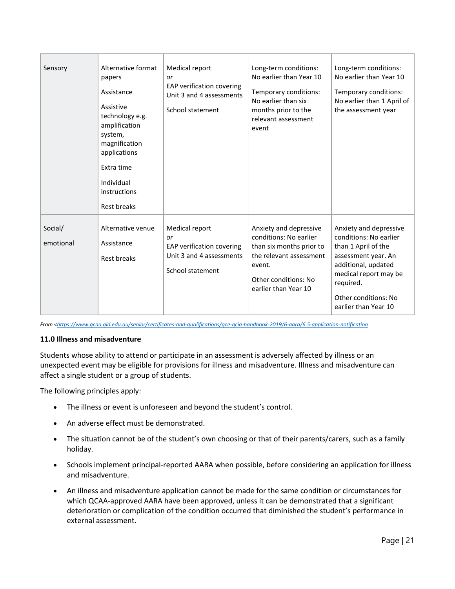| Sensory              | Alternative format<br>papers<br>Assistance<br>Assistive<br>technology e.g.<br>amplification<br>system,<br>magnification<br>applications<br>Extra time<br>Individual<br>instructions<br>Rest breaks | Medical report<br>or<br>EAP verification covering<br>Unit 3 and 4 assessments<br>School statement | Long-term conditions:<br>No earlier than Year 10<br>Temporary conditions:<br>No earlier than six<br>months prior to the<br>relevant assessment<br>event           | Long-term conditions:<br>No earlier than Year 10<br>Temporary conditions:<br>No earlier than 1 April of<br>the assessment year                                                                              |
|----------------------|----------------------------------------------------------------------------------------------------------------------------------------------------------------------------------------------------|---------------------------------------------------------------------------------------------------|-------------------------------------------------------------------------------------------------------------------------------------------------------------------|-------------------------------------------------------------------------------------------------------------------------------------------------------------------------------------------------------------|
| Social/<br>emotional | Alternative venue<br>Assistance<br>Rest breaks                                                                                                                                                     | Medical report<br>or<br>EAP verification covering<br>Unit 3 and 4 assessments<br>School statement | Anxiety and depressive<br>conditions: No earlier<br>than six months prior to<br>the relevant assessment<br>event.<br>Other conditions: No<br>earlier than Year 10 | Anxiety and depressive<br>conditions: No earlier<br>than 1 April of the<br>assessment year. An<br>additional, updated<br>medical report may be<br>required.<br>Other conditions: No<br>earlier than Year 10 |

*From [<https://www.qcaa.qld.edu.au/senior/certificates-and-qualifications/qce-qcia-handbook-2019/6-aara/6.5-application-notification](https://www.qcaa.qld.edu.au/senior/certificates-and-qualifications/qce-qcia-handbook-2019/6-aara/6.5-application-notification)*

### **11.0 Illness and misadventure**

Students whose ability to attend or participate in an assessment is adversely affected by illness or an unexpected event may be eligible for provisions for illness and misadventure. Illness and misadventure can affect a single student or a group of students.

The following principles apply:

- The illness or event is unforeseen and beyond the student's control.
- An adverse effect must be demonstrated.
- The situation cannot be of the student's own choosing or that of their parents/carers, such as a family holiday.
- Schools implement principal-reported AARA when possible, before considering an application for illness and misadventure.
- An illness and misadventure application cannot be made for the same condition or circumstances for which QCAA-approved AARA have been approved, unless it can be demonstrated that a significant deterioration or complication of the condition occurred that diminished the student's performance in external assessment.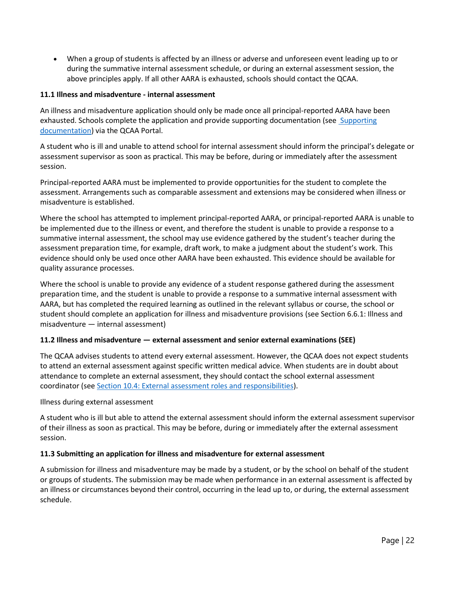• When a group of students is affected by an illness or adverse and unforeseen event leading up to or during the summative internal assessment schedule, or during an external assessment session, the above principles apply. If all other AARA is exhausted, schools should contact the QCAA.

# **11.1 Illness and misadventure - internal assessment**

An illness and misadventure application should only be made once all principal-reported AARA have been exhausted. Schools complete the application and provide supporting documentation (see Supporting [documentation\)](https://www.qcaa.qld.edu.au/senior/certificates-and-qualifications/qce-qcia-handbook-2019/6-aara/6.6-illness-misadventure#2) via the QCAA Portal.

A student who is ill and unable to attend school for internal assessment should inform the principal's delegate or assessment supervisor as soon as practical. This may be before, during or immediately after the assessment session.

Principal-reported AARA must be implemented to provide opportunities for the student to complete the assessment. Arrangements such as comparable assessment and extensions may be considered when illness or misadventure is established.

Where the school has attempted to implement principal-reported AARA, or principal-reported AARA is unable to be implemented due to the illness or event, and therefore the student is unable to provide a response to a summative internal assessment, the school may use evidence gathered by the student's teacher during the assessment preparation time, for example, draft work, to make a judgment about the student's work. This evidence should only be used once other AARA have been exhausted. This evidence should be available for quality assurance processes.

Where the school is unable to provide any evidence of a student response gathered during the assessment preparation time, and the student is unable to provide a response to a summative internal assessment with AARA, but has completed the required learning as outlined in the relevant syllabus or course, the school or student should complete an application for illness and misadventure provisions (see Section 6.6.1: Illness and misadventure — internal assessment)

# **11.2 Illness and misadventure — external assessment and senior external examinations (SEE)**

The QCAA advises students to attend every external assessment. However, the QCAA does not expect students to attend an external assessment against specific written medical advice. When students are in doubt about attendance to complete an external assessment, they should contact the school external assessment coordinator (see [Section 10.4: External assessment roles and responsibilities\)](https://www.qcaa.qld.edu.au/senior/certificates-and-qualifications/qce-qcia-handbook-2019/10-external-assessment/10.4-roles-responsibilities).

Illness during external assessment

A student who is ill but able to attend the external assessment should inform the external assessment supervisor of their illness as soon as practical. This may be before, during or immediately after the external assessment session.

### **11.3 Submitting an application for illness and misadventure for external assessment**

A submission for illness and misadventure may be made by a student, or by the school on behalf of the student or groups of students. The submission may be made when performance in an external assessment is affected by an illness or circumstances beyond their control, occurring in the lead up to, or during, the external assessment schedule.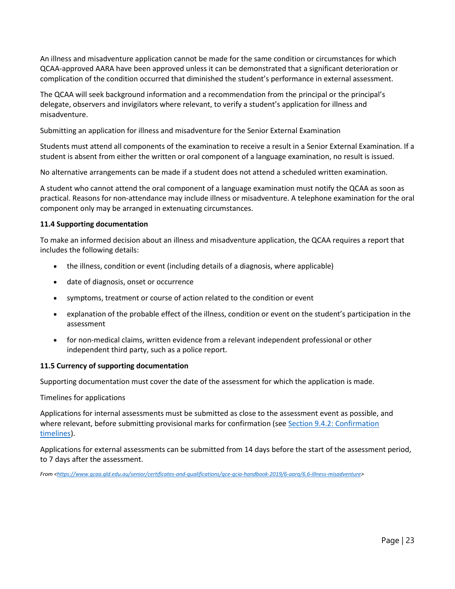An illness and misadventure application cannot be made for the same condition or circumstances for which QCAA-approved AARA have been approved unless it can be demonstrated that a significant deterioration or complication of the condition occurred that diminished the student's performance in external assessment.

The QCAA will seek background information and a recommendation from the principal or the principal's delegate, observers and invigilators where relevant, to verify a student's application for illness and misadventure.

Submitting an application for illness and misadventure for the Senior External Examination

Students must attend all components of the examination to receive a result in a Senior External Examination. If a student is absent from either the written or oral component of a language examination, no result is issued.

No alternative arrangements can be made if a student does not attend a scheduled written examination.

A student who cannot attend the oral component of a language examination must notify the QCAA as soon as practical. Reasons for non-attendance may include illness or misadventure. A telephone examination for the oral component only may be arranged in extenuating circumstances.

#### **11.4 Supporting documentation**

To make an informed decision about an illness and misadventure application, the QCAA requires a report that includes the following details:

- the illness, condition or event (including details of a diagnosis, where applicable)
- date of diagnosis, onset or occurrence
- symptoms, treatment or course of action related to the condition or event
- explanation of the probable effect of the illness, condition or event on the student's participation in the assessment
- for non-medical claims, written evidence from a relevant independent professional or other independent third party, such as a police report.

#### **11.5 Currency of supporting documentation**

Supporting documentation must cover the date of the assessment for which the application is made.

#### Timelines for applications

Applications for internal assessments must be submitted as close to the assessment event as possible, and where relevant, before submitting provisional marks for confirmation (see Section 9.4.2: Confirmation [timelines\)](https://www.qcaa.qld.edu.au/senior/certificates-and-qualifications/qce-qcia-handbook-2019/9-internal-assessment-qa/9.4-general-subjects-confirming).

Applications for external assessments can be submitted from 14 days before the start of the assessment period, to 7 days after the assessment.

*From [<https://www.qcaa.qld.edu.au/senior/certificates-and-qualifications/qce-qcia-handbook-2019/6-aara/6.6-illness-misadventure>](https://www.qcaa.qld.edu.au/senior/certificates-and-qualifications/qce-qcia-handbook-2019/6-aara/6.6-illness-misadventure)*